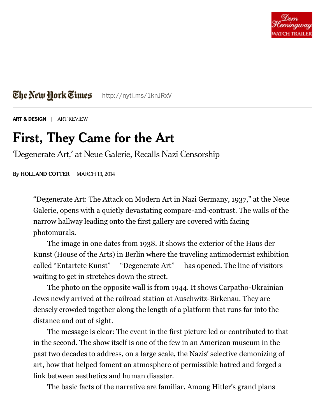

The New Hork Times | <http://nyti.ms/1knJRxV>

**[ART & DESIGN](http://www.nytimes.com/pages/arts/design/index.html)** | ART REVIEW

## **First, They Came for the Art**

'Degenerate Art,' at Neue Galerie, Recalls Nazi Censorship

**By [HOLLAND COTTER](http://topics.nytimes.com/top/reference/timestopics/people/c/holland_cotter/index.html)** MARCH 13, 2014

"Degenerate Art: The Attack on Modern Art in Nazi Germany, 1937," at the Neue Galerie, opens with a quietly devastating compare-and-contrast. The walls of the narrow hallway leading onto the first gallery are covered with facing photomurals.

The image in one dates from 1938. It shows the exterior of the Haus der Kunst (House of the Arts) in Berlin where the traveling antimodernist exhibition called "Entartete Kunst" — "Degenerate Art" — has opened. The line of visitors waiting to get in stretches down the street.

The photo on the opposite wall is from 1944. It shows Carpatho-Ukrainian Jews newly arrived at the railroad station at Auschwitz-Birkenau. They are densely crowded together along the length of a platform that runs far into the distance and out of sight.

The message is clear: The event in the first picture led or contributed to that in the second. The show itself is one of the few in an American museum in the past two decades to address, on a large scale, the Nazis' selective demonizing of art, how that helped foment an atmosphere of permissible hatred and forged a link between aesthetics and human disaster.

The basic facts of the narrative are familiar. Among Hitler's grand plans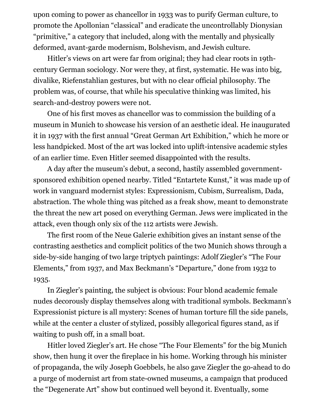upon coming to power as chancellor in 1933 was to purify German culture, to promote the Apollonian "classical" and eradicate the uncontrollably Dionysian "primitive," a category that included, along with the mentally and physically deformed, avant-garde modernism, Bolshevism, and Jewish culture.

Hitler's views on art were far from original; they had clear roots in 19thcentury German sociology. Nor were they, at first, systematic. He was into big, divalike, Riefenstahlian gestures, but with no clear official philosophy. The problem was, of course, that while his speculative thinking was limited, his search-and-destroy powers were not.

One of his first moves as chancellor was to commission the building of a museum in Munich to showcase his version of an aesthetic ideal. He inaugurated it in 1937 with the first annual "Great German Art Exhibition," which he more or less handpicked. Most of the art was locked into uplift-intensive academic styles of an earlier time. Even Hitler seemed disappointed with the results.

A day after the museum's debut, a second, hastily assembled governmentsponsored exhibition opened nearby. Titled "Entartete Kunst," it was made up of work in vanguard modernist styles: Expressionism, Cubism, Surrealism, Dada, abstraction. The whole thing was pitched as a freak show, meant to demonstrate the threat the new art posed on everything German. Jews were implicated in the attack, even though only six of the 112 artists were Jewish.

The first room of the Neue Galerie exhibition gives an instant sense of the contrasting aesthetics and complicit politics of the two Munich shows through a side-by-side hanging of two large triptych paintings: Adolf Ziegler's "The Four Elements," from 1937, and Max Beckmann's "Departure," done from 1932 to 1935.

In Ziegler's painting, the subject is obvious: Four blond academic female nudes decorously display themselves along with traditional symbols. Beckmann's Expressionist picture is all mystery: Scenes of human torture fill the side panels, while at the center a cluster of stylized, possibly allegorical figures stand, as if waiting to push off, in a small boat.

Hitler loved Ziegler's art. He chose "The Four Elements" for the big Munich show, then hung it over the fireplace in his home. Working through his minister of propaganda, the wily Joseph Goebbels, he also gave Ziegler the go-ahead to do a purge of modernist art from state-owned museums, a campaign that produced the "Degenerate Art" show but continued well beyond it. Eventually, some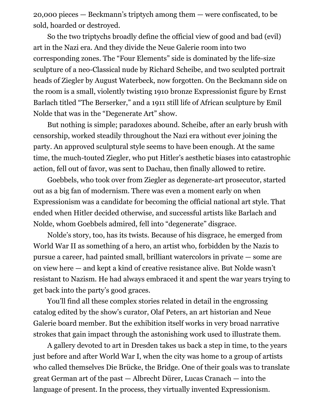20,000 pieces — Beckmann's triptych among them — were confiscated, to be sold, hoarded or destroyed.

So the two triptychs broadly define the official view of good and bad (evil) art in the Nazi era. And they divide the Neue Galerie room into two corresponding zones. The "Four Elements" side is dominated by the life-size sculpture of a neo-Classical nude by Richard Scheibe, and two sculpted portrait heads of Ziegler by August Waterbeck, now forgotten. On the Beckmann side on the room is a small, violently twisting 1910 bronze Expressionist figure by Ernst Barlach titled "The Berserker," and a 1911 still life of African sculpture by Emil Nolde that was in the "Degenerate Art" show.

But nothing is simple; paradoxes abound. Scheibe, after an early brush with censorship, worked steadily throughout the Nazi era without ever joining the party. An approved sculptural style seems to have been enough. At the same time, the much-touted Ziegler, who put Hitler's aesthetic biases into catastrophic action, fell out of favor, was sent to Dachau, then finally allowed to retire.

Goebbels, who took over from Ziegler as degenerate-art prosecutor, started out as a big fan of modernism. There was even a moment early on when Expressionism was a candidate for becoming the official national art style. That ended when Hitler decided otherwise, and successful artists like Barlach and Nolde, whom Goebbels admired, fell into "degenerate" disgrace.

Nolde's story, too, has its twists. Because of his disgrace, he emerged from [World War II](http://topics.nytimes.com/top/reference/timestopics/subjects/w/world_war_ii_/index.html?inline=nyt-classifier) as something of a hero, an artist who, forbidden by the Nazis to pursue a career, had painted small, brilliant watercolors in private — some are on view here — and kept a kind of creative resistance alive. But Nolde wasn't resistant to Nazism. He had always embraced it and spent the war years trying to get back into the party's good graces.

You'll find all these complex stories related in detail in the engrossing catalog edited by the show's curator, Olaf Peters, an art historian and Neue Galerie board member. But the exhibition itself works in very broad narrative strokes that gain impact through the astonishing work used to illustrate them.

A gallery devoted to art in Dresden takes us back a step in time, to the years just before and after World War I, when the city was home to a group of artists who called themselves Die Brücke, the Bridge. One of their goals was to translate great German art of the past — Albrecht Dürer, Lucas Cranach — into the language of present. In the process, they virtually invented Expressionism.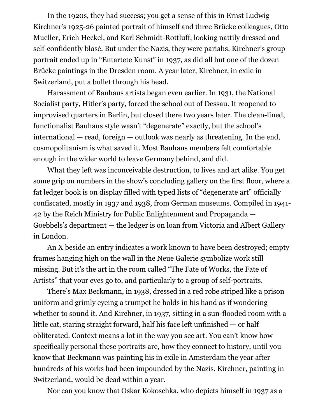In the 1920s, they had success; you get a sense of this in Ernst Ludwig Kirchner's 1925-26 painted portrait of himself and three Brücke colleagues, Otto Mueller, Erich Heckel, and Karl Schmidt-Rottluff, looking nattily dressed and self-confidently blasé. But under the Nazis, they were pariahs. Kirchner's group portrait ended up in "Entartete Kunst" in 1937, as did all but one of the dozen Brücke paintings in the Dresden room. A year later, Kirchner, in exile in Switzerland, put a bullet through his head.

Harassment of Bauhaus artists began even earlier. In 1931, the National Socialist party, Hitler's party, forced the school out of Dessau. It reopened to improvised quarters in Berlin, but closed there two years later. The clean-lined, functionalist Bauhaus style wasn't "degenerate" exactly, but the school's international — read, foreign — outlook was nearly as threatening. In the end, cosmopolitanism is what saved it. Most Bauhaus members felt comfortable enough in the wider world to leave Germany behind, and did.

What they left was inconceivable destruction, to lives and art alike. You get some grip on numbers in the show's concluding gallery on the first floor, where a fat ledger book is on display filled with typed lists of "degenerate art" officially confiscated, mostly in 1937 and 1938, from German museums. Compiled in 1941- 42 by the Reich Ministry for Public Enlightenment and Propaganda — Goebbels's department — the ledger is on loan from Victoria and Albert Gallery in London.

An X beside an entry indicates a work known to have been destroyed; empty frames hanging high on the wall in the Neue Galerie symbolize work still missing. But it's the art in the room called "The Fate of Works, the Fate of Artists" that your eyes go to, and particularly to a group of self-portraits.

There's Max Beckmann, in 1938, dressed in a red robe striped like a prison uniform and grimly eyeing a trumpet he holds in his hand as if wondering whether to sound it. And Kirchner, in 1937, sitting in a sun-flooded room with a little cat, staring straight forward, half his face left unfinished — or half obliterated. Context means a lot in the way you see art. You can't know how specifically personal these portraits are, how they connect to history, until you know that Beckmann was painting his in exile in Amsterdam the year after hundreds of his works had been impounded by the Nazis. Kirchner, painting in Switzerland, would be dead within a year.

Nor can you know that Oskar Kokoschka, who depicts himself in 1937 as a